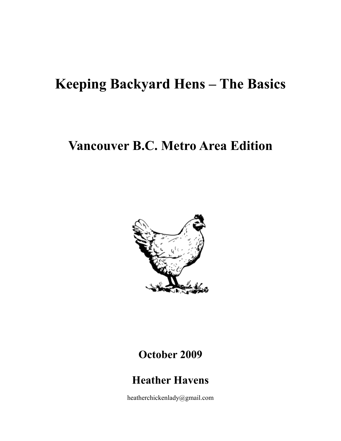# **Keeping Backyard Hens – The Basics**

## **Vancouver B.C. Metro Area Edition**



## **October 2009**

## **Heather Havens**

heatherchickenlady@gmail.com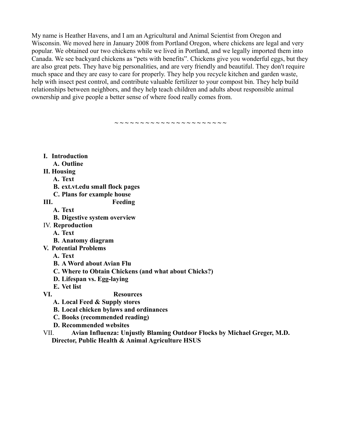My name is Heather Havens, and I am an Agricultural and Animal Scientist from Oregon and Wisconsin. We moved here in January 2008 from Portland Oregon, where chickens are legal and very popular. We obtained our two chickens while we lived in Portland, and we legally imported them into Canada. We see backyard chickens as "pets with benefits". Chickens give you wonderful eggs, but they are also great pets. They have big personalities, and are very friendly and beautiful. They don't require much space and they are easy to care for properly. They help you recycle kitchen and garden waste, help with insect pest control, and contribute valuable fertilizer to your compost bin. They help build relationships between neighbors, and they help teach children and adults about responsible animal ownership and give people a better sense of where food really comes from.

**~ ~ ~ ~ ~ ~ ~ ~ ~ ~ ~ ~ ~ ~ ~ ~ ~ ~ ~ ~ ~ ~**

 **I. Introduction**

- **A. Outline**
- **II. Housing**
	- **A. Text**
		- **B. ext.vt.edu small flock pages**
		- **C. Plans for example house**

- **III. Feeding**
	- **A. Text**
	- **B. Digestive system overview**
- IV. **Reproduction**
	- **A. Text**
	- **B. Anatomy diagram**
- **V. Potential Problems**
	- **A. Text**
	- **B. A Word about Avian Flu**
	- **C. Where to Obtain Chickens (and what about Chicks?)**
	- **D. Lifespan vs. Egg-laying**
	- **E. Vet list**

 **VI. Resources**

- **A. Local Feed & Supply stores**
- **B. Local chicken bylaws and ordinances**
- **C. Books (recommended reading)**
- **D. Recommended websites**
- VII. **Avian Influenza: Unjustly Blaming Outdoor Flocks by Michael Greger, M.D. Director, Public Health & Animal Agriculture HSUS**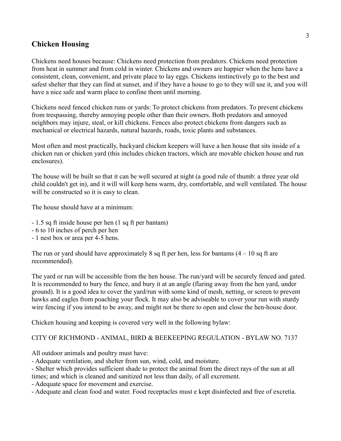## **Chicken Housing**

Chickens need houses because: Chickens need protection from predators. Chickens need protection from heat in summer and from cold in winter. Chickens and owners are happier when the hens have a consistent, clean, convenient, and private place to lay eggs. Chickens instinctively go to the best and safest shelter that they can find at sunset, and if they have a house to go to they will use it, and you will have a nice safe and warm place to confine them until morning.

Chickens need fenced chicken runs or yards: To protect chickens from predators. To prevent chickens from trespassing, thereby annoying people other than their owners. Both predators and annoyed neighbors may injure, steal, or kill chickens. Fences also protect chickens from dangers such as mechanical or electrical hazards, natural hazards, roads, toxic plants and substances.

Most often and most practically, backyard chicken keepers will have a hen house that sits inside of a chicken run or chicken yard (this includes chicken tractors, which are movable chicken house and run enclosures).

The house will be built so that it can be well secured at night (a good rule of thumb: a three year old child couldn't get in), and it will will keep hens warm, dry, comfortable, and well ventilated. The house will be constructed so it is easy to clean.

The house should have at a minimum:

- 1.5 sq ft inside house per hen (1 sq ft per bantam)
- 6 to 10 inches of perch per hen
- 1 nest box or area per 4-5 hens.

The run or yard should have approximately 8 sq ft per hen, less for bantams  $(4 - 10)$  sq ft are recommended).

The yard or run will be accessible from the hen house. The run/yard will be securely fenced and gated. It is recommended to bury the fence, and bury it at an angle (flaring away from the hen yard, under ground). It is a good idea to cover the yard/run with some kind of mesh, netting, or screen to prevent hawks and eagles from poaching your flock. It may also be adviseable to cover your run with sturdy wire fencing if you intend to be away, and might not be there to open and close the hen-house door.

Chicken housing and keeping is covered very well in the following bylaw:

#### CITY OF RICHMOND - ANIMAL, BIRD & BEEKEEPING REGULATION - BYLAW NO. 7137

All outdoor animals and poultry must have:

- Adequate ventilation, and shelter from sun, wind, cold, and moisture.

- Shelter which provides sufficient shade to protect the animal from the direct rays of the sun at all times; and which is cleaned and sanitized not less than daily, of all excrement.

- Adequate space for movement and exercise.

- Adequate and clean food and water. Food receptacles must e kept disinfected and free of excretia.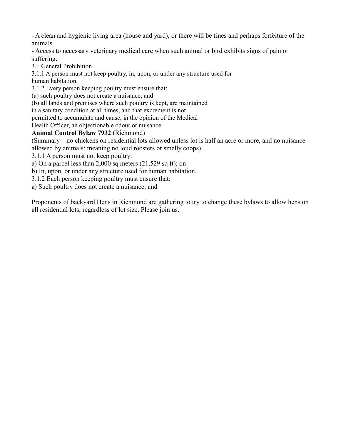- A clean and hygienic living area (house and yard), or there will be fines and perhaps forfeiture of the animals.

- Access to necessary veterinary medical care when such animal or bird exhibits signs of pain or suffering.

3.1 General Prohibition

3.1.1 A person must not keep poultry, in, upon, or under any structure used for

human habitation.

3.1.2 Every person keeping poultry must ensure that:

(a) such poultry does not create a nuisance; and

(b) all lands and premises where such poultry is kept, are maintained

in a sanitary condition at all times, and that excrement is not

permitted to accumulate and cause, in the opinion of the Medical

Health Officer, an objectionable odour or nuisance.

## **Animal Control Bylaw 7932** (Richmond)

(Summary – no chickens on residential lots allowed unless lot is half an acre or more, and no nuisance allowed by animals; meaning no loud roosters or smelly coops)

3.1.1 A person must not keep poultry:

a) On a parcel less than 2,000 sq meters (21,529 sq ft); on

b) In, upon, or under any structure used for human habitation.

3.1.2 Each person keeping poultry must ensure that:

a) Such poultry does not create a nuisance; and

Proponents of backyard Hens in Richmond are gathering to try to change these bylaws to allow hens on all residential lots, regardless of lot size. Please join us.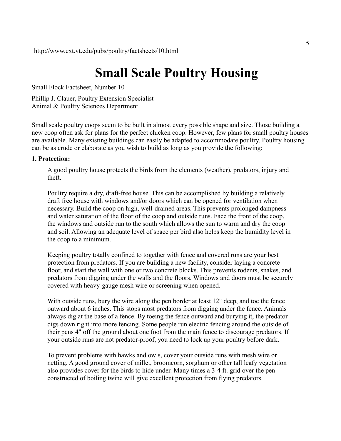## **Small Scale Poultry Housing**

Small Flock Factsheet, Number 10

Phillip J. Clauer, Poultry Extension Specialist Animal & Poultry Sciences Department

Small scale poultry coops seem to be built in almost every possible shape and size. Those building a new coop often ask for plans for the perfect chicken coop. However, few plans for small poultry houses are available. Many existing buildings can easily be adapted to accommodate poultry. Poultry housing can be as crude or elaborate as you wish to build as long as you provide the following:

#### **1. Protection:**

A good poultry house protects the birds from the elements (weather), predators, injury and theft.

Poultry require a dry, draft-free house. This can be accomplished by building a relatively draft free house with windows and/or doors which can be opened for ventilation when necessary. Build the coop on high, well-drained areas. This prevents prolonged dampness and water saturation of the floor of the coop and outside runs. Face the front of the coop, the windows and outside run to the south which allows the sun to warm and dry the coop and soil. Allowing an adequate level of space per bird also helps keep the humidity level in the coop to a minimum.

Keeping poultry totally confined to together with fence and covered runs are your best protection from predators. If you are building a new facility, consider laying a concrete floor, and start the wall with one or two concrete blocks. This prevents rodents, snakes, and predators from digging under the walls and the floors. Windows and doors must be securely covered with heavy-gauge mesh wire or screening when opened.

With outside runs, bury the wire along the pen border at least 12" deep, and toe the fence outward about 6 inches. This stops most predators from digging under the fence. Animals always dig at the base of a fence. By toeing the fence outward and burying it, the predator digs down right into more fencing. Some people run electric fencing around the outside of their pens 4" off the ground about one foot from the main fence to discourage predators. If your outside runs are not predator-proof, you need to lock up your poultry before dark.

To prevent problems with hawks and owls, cover your outside runs with mesh wire or netting. A good ground cover of millet, broomcorn, sorghum or other tall leafy vegetation also provides cover for the birds to hide under. Many times a 3-4 ft. grid over the pen constructed of boiling twine will give excellent protection from flying predators.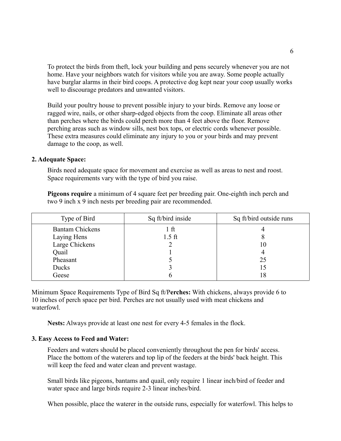To protect the birds from theft, lock your building and pens securely whenever you are not home. Have your neighbors watch for visitors while you are away. Some people actually have burglar alarms in their bird coops. A protective dog kept near your coop usually works well to discourage predators and unwanted visitors.

Build your poultry house to prevent possible injury to your birds. Remove any loose or ragged wire, nails, or other sharp-edged objects from the coop. Eliminate all areas other than perches where the birds could perch more than 4 feet above the floor. Remove perching areas such as window sills, nest box tops, or electric cords whenever possible. These extra measures could eliminate any injury to you or your birds and may prevent damage to the coop, as well.

#### **2. Adequate Space:**

Birds need adequate space for movement and exercise as well as areas to nest and roost. Space requirements vary with the type of bird you raise.

**Pigeons require** a minimum of 4 square feet per breeding pair. One-eighth inch perch and two 9 inch x 9 inch nests per breeding pair are recommended.

| Type of Bird           | Sq ft/bird inside | Sq ft/bird outside runs |
|------------------------|-------------------|-------------------------|
| <b>Bantam Chickens</b> | . ft              |                         |
| Laying Hens            | $1.5$ ft          |                         |
| Large Chickens         |                   | 10                      |
| Quail                  |                   |                         |
| Pheasant               |                   | 25                      |
| Ducks                  |                   |                         |
| Geese                  |                   |                         |

Minimum Space Requirements Type of Bird Sq ft/P**erches:** With chickens, always provide 6 to 10 inches of perch space per bird. Perches are not usually used with meat chickens and waterfowl.

**Nests:** Always provide at least one nest for every 4-5 females in the flock.

#### **3. Easy Access to Feed and Water:**

Feeders and waters should be placed conveniently throughout the pen for birds' access. Place the bottom of the waterers and top lip of the feeders at the birds' back height. This will keep the feed and water clean and prevent wastage.

Small birds like pigeons, bantams and quail, only require 1 linear inch/bird of feeder and water space and large birds require 2-3 linear inches/bird.

When possible, place the waterer in the outside runs, especially for waterfowl. This helps to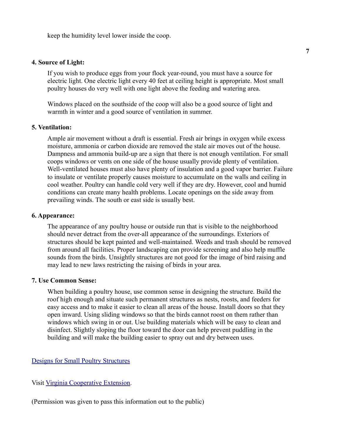keep the humidity level lower inside the coop.

### **4. Source of Light:**

If you wish to produce eggs from your flock year-round, you must have a source for electric light. One electric light every 40 feet at ceiling height is appropriate. Most small poultry houses do very well with one light above the feeding and watering area.

Windows placed on the southside of the coop will also be a good source of light and warmth in winter and a good source of ventilation in summer.

#### **5. Ventilation:**

Ample air movement without a draft is essential. Fresh air brings in oxygen while excess moisture, ammonia or carbon dioxide are removed the stale air moves out of the house. Dampness and ammonia build-up are a sign that there is not enough ventilation. For small coops windows or vents on one side of the house usually provide plenty of ventilation. Well-ventilated houses must also have plenty of insulation and a good vapor barrier. Failure to insulate or ventilate properly causes moisture to accumulate on the walls and ceiling in cool weather. Poultry can handle cold very well if they are dry. However, cool and humid conditions can create many health problems. Locate openings on the side away from prevailing winds. The south or east side is usually best.

### **6. Appearance:**

The appearance of any poultry house or outside run that is visible to the neighborhood should never detract from the over-all appearance of the surroundings. Exteriors of structures should be kept painted and well-maintained. Weeds and trash should be removed from around all facilities. Proper landscaping can provide screening and also help muffle sounds from the birds. Unsightly structures are not good for the image of bird raising and may lead to new laws restricting the raising of birds in your area.

#### **7. Use Common Sense:**

When building a poultry house, use common sense in designing the structure. Build the roof high enough and situate such permanent structures as nests, roosts, and feeders for easy access and to make it easier to clean all areas of the house. Install doors so that they open inward. Using sliding windows so that the birds cannot roost on them rather than windows which swing in or out. Use building materials which will be easy to clean and disinfect. Slightly sloping the floor toward the door can help prevent puddling in the building and will make the building easier to spray out and dry between uses.

### [Designs for Small Poultry Structures](http://www.ext.vt.edu/pubs/poultry/factsheets/designs.html)

Visit [Virginia Cooperative Extension.](http://www.ext.vt.edu/index.html)

(Permission was given to pass this information out to the public)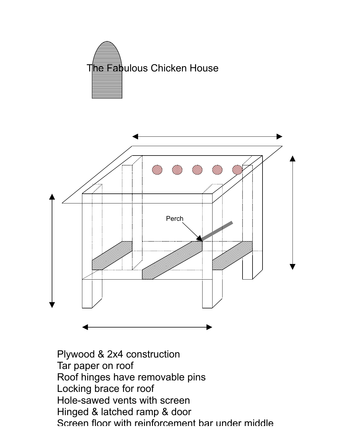



Plywood & 2x4 construction Tar paper on roof Roof hinges have removable pins Locking brace for roof Hole-sawed vents with screen Hinged & latched ramp & door Screen floor with reinforcement bar under middle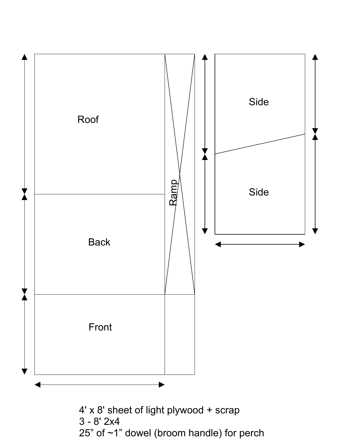

25" of ~1" dowel (broom handle) for perch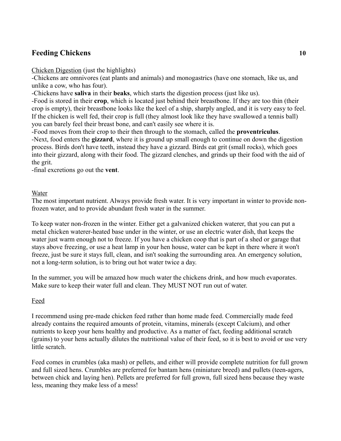## **Feeding Chickens 10**

Chicken Digestion (just the highlights)

-Chickens are omnivores (eat plants and animals) and monogastrics (have one stomach, like us, and unlike a cow, who has four).

-Chickens have **saliva** in their **beaks**, which starts the digestion process (just like us).

-Food is stored in their **crop**, which is located just behind their breastbone. If they are too thin (their crop is empty), their breastbone looks like the keel of a ship, sharply angled, and it is very easy to feel. If the chicken is well fed, their crop is full (they almost look like they have swallowed a tennis ball) you can barely feel their breast bone, and can't easily see where it is.

-Food moves from their crop to their then through to the stomach, called the **proventriculus**. -Next, food enters the **gizzard**, where it is ground up small enough to continue on down the digestion process. Birds don't have teeth, instead they have a gizzard. Birds eat grit (small rocks), which goes into their gizzard, along with their food. The gizzard clenches, and grinds up their food with the aid of the grit.

-final excretions go out the **vent**.

Water

The most important nutrient. Always provide fresh water. It is very important in winter to provide nonfrozen water, and to provide abundant fresh water in the summer.

To keep water non-frozen in the winter. Either get a galvanized chicken waterer, that you can put a metal chicken waterer-heated base under in the winter, or use an electric water dish, that keeps the water just warm enough not to freeze. If you have a chicken coop that is part of a shed or garage that stays above freezing, or use a heat lamp in your hen house, water can be kept in there where it won't freeze, just be sure it stays full, clean, and isn't soaking the surrounding area. An emergency solution, not a long-term solution, is to bring out hot water twice a day.

In the summer, you will be amazed how much water the chickens drink, and how much evaporates. Make sure to keep their water full and clean. They MUST NOT run out of water.

Feed

I recommend using pre-made chicken feed rather than home made feed. Commercially made feed already contains the required amounts of protein, vitamins, minerals (except Calcium), and other nutrients to keep your hens healthy and productive. As a matter of fact, feeding additional scratch (grains) to your hens actually dilutes the nutritional value of their feed, so it is best to avoid or use very little scratch.

Feed comes in crumbles (aka mash) or pellets, and either will provide complete nutrition for full grown and full sized hens. Crumbles are preferred for bantam hens (miniature breed) and pullets (teen-agers, between chick and laying hen). Pellets are preferred for full grown, full sized hens because they waste less, meaning they make less of a mess!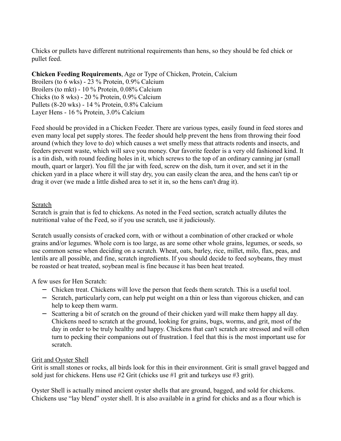Chicks or pullets have different nutritional requirements than hens, so they should be fed chick or pullet feed.

**Chicken Feeding Requirements**, Age or Type of Chicken, Protein, Calcium Broilers (to 6 wks) - 23 % Protein, 0.9% Calcium Broilers (to mkt) - 10 % Protein, 0.08% Calcium Chicks (to 8 wks) - 20 % Protein, 0.9% Calcium Pullets (8-20 wks) - 14 % Protein, 0.8% Calcium Layer Hens - 16 % Protein, 3.0% Calcium

Feed should be provided in a Chicken Feeder. There are various types, easily found in feed stores and even many local pet supply stores. The feeder should help prevent the hens from throwing their food around (which they love to do) which causes a wet smelly mess that attracts rodents and insects, and feeders prevent waste, which will save you money. Our favorite feeder is a very old fashioned kind. It is a tin dish, with round feeding holes in it, which screws to the top of an ordinary canning jar (small mouth, quart or larger). You fill the jar with feed, screw on the dish, turn it over, and set it in the chicken yard in a place where it will stay dry, you can easily clean the area, and the hens can't tip or drag it over (we made a little dished area to set it in, so the hens can't drag it).

## Scratch

Scratch is grain that is fed to chickens. As noted in the Feed section, scratch actually dilutes the nutritional value of the Feed, so if you use scratch, use it judiciously.

Scratch usually consists of cracked corn, with or without a combination of other cracked or whole grains and/or legumes. Whole corn is too large, as are some other whole grains, legumes, or seeds, so use common sense when deciding on a scratch. Wheat, oats, barley, rice, millet, milo, flax, peas, and lentils are all possible, and fine, scratch ingredients. If you should decide to feed soybeans, they must be roasted or heat treated, soybean meal is fine because it has been heat treated.

A few uses for Hen Scratch:

- − Chicken treat. Chickens will love the person that feeds them scratch. This is a useful tool.
- − Scratch, particularly corn, can help put weight on a thin or less than vigorous chicken, and can help to keep them warm.
- − Scattering a bit of scratch on the ground of their chicken yard will make them happy all day. Chickens need to scratch at the ground, looking for grains, bugs, worms, and grit, most of the day in order to be truly healthy and happy. Chickens that can't scratch are stressed and will often turn to pecking their companions out of frustration. I feel that this is the most important use for scratch.

## Grit and Oyster Shell

Grit is small stones or rocks, all birds look for this in their environment. Grit is small gravel bagged and sold just for chickens. Hens use #2 Grit (chicks use #1 grit and turkeys use #3 grit).

Oyster Shell is actually mined ancient oyster shells that are ground, bagged, and sold for chickens. Chickens use "lay blend" oyster shell. It is also available in a grind for chicks and as a flour which is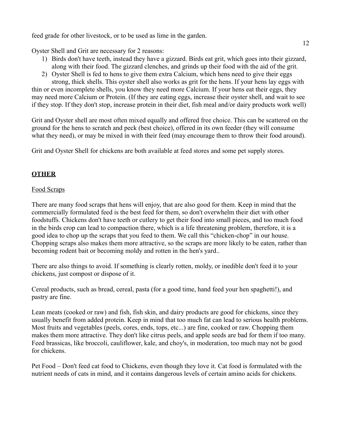feed grade for other livestock, or to be used as lime in the garden.

Oyster Shell and Grit are necessary for 2 reasons:

- 1) Birds don't have teeth, instead they have a gizzard. Birds eat grit, which goes into their gizzard, along with their food. The gizzard clenches, and grinds up their food with the aid of the grit.
- 2) Oyster Shell is fed to hens to give them extra Calcium, which hens need to give their eggs strong, thick shells. This oyster shell also works as grit for the hens. If your hens lay eggs with

thin or even incomplete shells, you know they need more Calcium. If your hens eat their eggs, they may need more Calcium or Protein. (If they are eating eggs, increase their oyster shell, and wait to see if they stop. If they don't stop, increase protein in their diet, fish meal and/or dairy products work well)

Grit and Oyster shell are most often mixed equally and offered free choice. This can be scattered on the ground for the hens to scratch and peck (best choice), offered in its own feeder (they will consume what they need), or may be mixed in with their feed (may encourage them to throw their food around).

Grit and Oyster Shell for chickens are both available at feed stores and some pet supply stores.

## **OTHER**

## Food Scraps

There are many food scraps that hens will enjoy, that are also good for them. Keep in mind that the commercially formulated feed is the best feed for them, so don't overwhelm their diet with other foodstuffs. Chickens don't have teeth or cutlery to get their food into small pieces, and too much food in the birds crop can lead to compaction there, which is a life threatening problem, therefore, it is a good idea to chop up the scraps that you feed to them. We call this "chicken-chop" in our house. Chopping scraps also makes them more attractive, so the scraps are more likely to be eaten, rather than becoming rodent bait or becoming moldy and rotten in the hen's yard..

There are also things to avoid. If something is clearly rotten, moldy, or inedible don't feed it to your chickens, just compost or dispose of it.

Cereal products, such as bread, cereal, pasta (for a good time, hand feed your hen spaghetti!), and pastry are fine.

Lean meats (cooked or raw) and fish, fish skin, and dairy products are good for chickens, since they usually benefit from added protein. Keep in mind that too much fat can lead to serious health problems. Most fruits and vegetables (peels, cores, ends, tops, etc...) are fine, cooked or raw. Chopping them makes them more attractive. They don't like citrus peels, and apple seeds are bad for them if too many. Feed brassicas, like broccoli, cauliflower, kale, and choy's, in moderation, too much may not be good for chickens.

Pet Food – Don't feed cat food to Chickens, even though they love it. Cat food is formulated with the nutrient needs of cats in mind, and it contains dangerous levels of certain amino acids for chickens.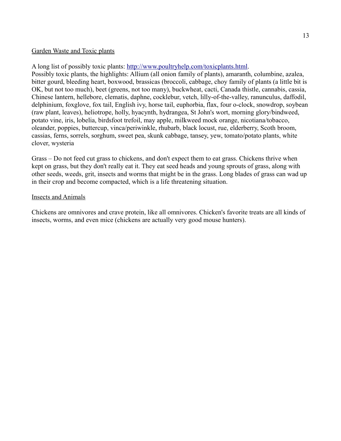### Garden Waste and Toxic plants

A long list of possibly toxic plants: [http://www.poultryhelp.com/toxicplants.html.](http://www.poultryhelp.com/toxicplants.html)

Possibly toxic plants, the highlights: Allium (all onion family of plants), amaranth, columbine, azalea, bitter gourd, bleeding heart, boxwood, brassicas (broccoli, cabbage, choy family of plants (a little bit is OK, but not too much), beet (greens, not too many), buckwheat, cacti, Canada thistle, cannabis, cassia, Chinese lantern, hellebore, clematis, daphne, cocklebur, vetch, lilly-of-the-valley, ranunculus, daffodil, delphinium, foxglove, fox tail, English ivy, horse tail, euphorbia, flax, four o-clock, snowdrop, soybean (raw plant, leaves), heliotrope, holly, hyacynth, hydrangea, St John's wort, morning glory/bindweed, potato vine, iris, lobelia, birdsfoot trefoil, may apple, milkweed mock orange, nicotiana/tobacco, oleander, poppies, buttercup, vinca/periwinkle, rhubarb, black locust, rue, elderberry, Scoth broom, cassias, ferns, sorrels, sorghum, sweet pea, skunk cabbage, tansey, yew, tomato/potato plants, white clover, wysteria

Grass – Do not feed cut grass to chickens, and don't expect them to eat grass. Chickens thrive when kept on grass, but they don't really eat it. They eat seed heads and young sprouts of grass, along with other seeds, weeds, grit, insects and worms that might be in the grass. Long blades of grass can wad up in their crop and become compacted, which is a life threatening situation.

### Insects and Animals

Chickens are omnivores and crave protein, like all omnivores. Chicken's favorite treats are all kinds of insects, worms, and even mice (chickens are actually very good mouse hunters).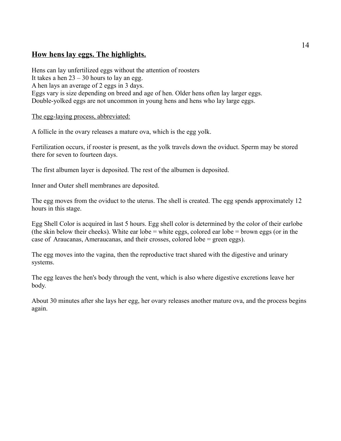## **How hens lay eggs. The highlights.**

Hens can lay unfertilized eggs without the attention of roosters It takes a hen  $23 - 30$  hours to lay an egg. A hen lays an average of 2 eggs in 3 days. Eggs vary is size depending on breed and age of hen. Older hens often lay larger eggs. Double-yolked eggs are not uncommon in young hens and hens who lay large eggs.

The egg-laying process, abbreviated:

A follicle in the ovary releases a mature ova, which is the egg yolk.

Fertilization occurs, if rooster is present, as the yolk travels down the oviduct. Sperm may be stored there for seven to fourteen days.

The first albumen layer is deposited. The rest of the albumen is deposited.

Inner and Outer shell membranes are deposited.

The egg moves from the oviduct to the uterus. The shell is created. The egg spends approximately 12 hours in this stage.

Egg Shell Color is acquired in last 5 hours. Egg shell color is determined by the color of their earlobe (the skin below their cheeks). White ear lobe = white eggs, colored ear lobe = brown eggs (or in the case of Araucanas, Ameraucanas, and their crosses, colored lobe = green eggs).

The egg moves into the vagina, then the reproductive tract shared with the digestive and urinary systems.

The egg leaves the hen's body through the vent, which is also where digestive excretions leave her body.

About 30 minutes after she lays her egg, her ovary releases another mature ova, and the process begins again.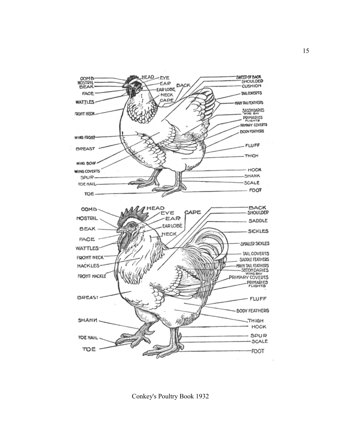

Conkey's Poultry Book 1932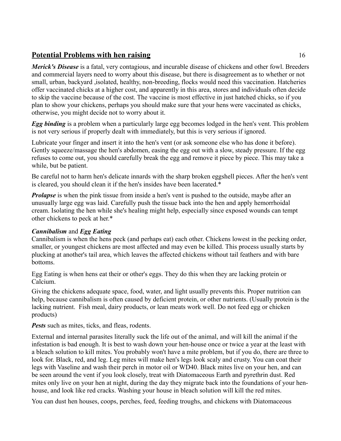## **Potential Problems with hen raising** 16

*Merick's Disease* is a fatal, very contagious, and incurable disease of chickens and other fowl. Breeders and commercial layers need to worry about this disease, but there is disagreement as to whether or not small, urban, backyard ,isolated, healthy, non-breeding, flocks would need this vaccination. Hatcheries offer vaccinated chicks at a higher cost, and apparently in this area, stores and individuals often decide to skip the vaccine because of the cost. The vaccine is most effective in just hatched chicks, so if you plan to show your chickens, perhaps you should make sure that your hens were vaccinated as chicks, otherwise, you might decide not to worry about it.

*Egg binding* is a problem when a particularly large egg becomes lodged in the hen's vent. This problem is not very serious if properly dealt with immediately, but this is very serious if ignored.

Lubricate your finger and insert it into the hen's vent (or ask someone else who has done it before). Gently squeeze/massage the hen's abdomen, easing the egg out with a slow, steady pressure. If the egg refuses to come out, you should carefully break the egg and remove it piece by piece. This may take a while, but be patient.

Be careful not to harm hen's delicate innards with the sharp broken eggshell pieces. After the hen's vent is cleared, you should clean it if the hen's insides have been lacerated.\*

*Prolapse* is when the pink tissue from inside a hen's vent is pushed to the outside, maybe after an unusually large egg was laid. Carefully push the tissue back into the hen and apply hemorrhoidal cream. Isolating the hen while she's healing might help, especially since exposed wounds can tempt other chickens to peck at her.\*

## *Cannibalism* and *Egg Eating*

Cannibalism is when the hens peck (and perhaps eat) each other. Chickens lowest in the pecking order, smaller, or youngest chickens are most affected and may even be killed. This process usually starts by plucking at another's tail area, which leaves the affected chickens without tail feathers and with bare bottoms.

Egg Eating is when hens eat their or other's eggs. They do this when they are lacking protein or Calcium.

Giving the chickens adequate space, food, water, and light usually prevents this. Proper nutrition can help, because cannibalism is often caused by deficient protein, or other nutrients. (Usually protein is the lacking nutrient. Fish meal, dairy products, or lean meats work well. Do not feed egg or chicken products)

**Pests** such as mites, ticks, and fleas, rodents.

External and internal parasites literally suck the life out of the animal, and will kill the animal if the infestation is bad enough. It is best to wash down your hen-house once or twice a year at the least with a bleach solution to kill mites. You probably won't have a mite problem, but if you do, there are three to look for. Black, red, and leg. Leg mites will make hen's legs look scaly and crusty. You can coat their legs with Vaseline and wash their perch in motor oil or WD40. Black mites live on your hen, and can be seen around the vent if you look closely, treat with Diatomaceous Earth and pyrethrin dust. Red mites only live on your hen at night, during the day they migrate back into the foundations of your henhouse, and look like red cracks. Washing your house in bleach solution will kill the red mites.

You can dust hen houses, coops, perches, feed, feeding troughs, and chickens with Diatomaceous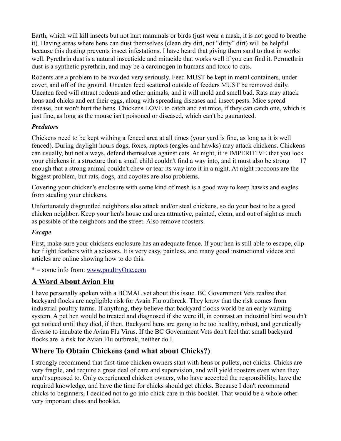Earth, which will kill insects but not hurt mammals or birds (just wear a mask, it is not good to breathe it). Having areas where hens can dust themselves (clean dry dirt, not "dirty" dirt) will be helpful because this dusting prevents insect infestations. I have heard that giving them sand to dust in works well. Pyrethrin dust is a natural insecticide and mitacide that works well if you can find it. Permethrin dust is a synthetic pyrethrin, and may be a carcinogen in humans and toxic to cats.

Rodents are a problem to be avoided very seriously. Feed MUST be kept in metal containers, under cover, and off of the ground. Uneaten feed scattered outside of feeders MUST be removed daily. Uneaten feed will attract rodents and other animals, and it will mold and smell bad. Rats may attack hens and chicks and eat their eggs, along with spreading diseases and insect pests. Mice spread disease, but won't hurt the hens. Chickens LOVE to catch and eat mice, if they can catch one, which is just fine, as long as the mouse isn't poisoned or diseased, which can't be gauranteed.

## *Predators*

Chickens need to be kept withing a fenced area at all times (your yard is fine, as long as it is well fenced). During daylight hours dogs, foxes, raptors (eagles and hawks) may attack chickens. Chickens can usually, but not always, defend themselves against cats. At night, it is IMPERITIVE that you lock your chickens in a structure that a small child couldn't find a way into, and it must also be strong 17 enough that a strong animal couldn't chew or tear its way into it in a night. At night raccoons are the biggest problem, but rats, dogs, and coyotes are also problems.

Covering your chicken's enclosure with some kind of mesh is a good way to keep hawks and eagles from stealing your chickens.

Unfortunately disgruntled neighbors also attack and/or steal chickens, so do your best to be a good chicken neighbor. Keep your hen's house and area attractive, painted, clean, and out of sight as much as possible of the neighbors and the street. Also remove roosters.

## *Escape*

First, make sure your chickens enclosure has an adequate fence. If your hen is still able to escape, clip her flight feathers with a scissors. It is very easy, painless, and many good instructional videos and articles are online showing how to do this.

\* = some info from: [www.poultryOne.com](http://www.poultryOne.com/)

## **A Word About Avian Flu**

I have personally spoken with a BCMAL vet about this issue. BC Government Vets realize that backyard flocks are negligible risk for Avain Flu outbreak. They know that the risk comes from industrial poultry farms. If anything, they believe that backyard flocks world be an early warning system. A pet hen would be treated and diagnosed if she were ill, in contrast an industrial bird wouldn't get noticed until they died, if then. Backyard hens are going to be too healthy, robust, and genetically diverse to incubate the Avian Flu Virus. If the BC Government Vets don't feel that small backyard flocks are a risk for Avian Flu outbreak, neither do I.

## **Where To Obtain Chickens (and what about Chicks?)**

I strongly recommend that first-time chicken owners start with hens or pullets, not chicks. Chicks are very fragile, and require a great deal of care and supervision, and will yield roosters even when they aren't supposed to. Only experienced chicken owners, who have accepted the responsibility, have the required knowledge, and have the time for chicks should get chicks. Because I don't recommend chicks to beginners, I decided not to go into chick care in this booklet. That would be a whole other very important class and booklet.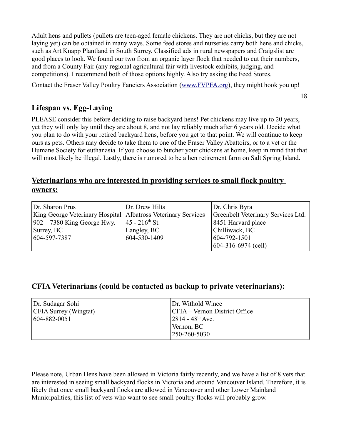Adult hens and pullets (pullets are teen-aged female chickens. They are not chicks, but they are not laying yet) can be obtained in many ways. Some feed stores and nurseries carry both hens and chicks, such as Art Knapp Plantland in South Surrey. Classified ads in rural newspapers and Craigslist are good places to look. We found our two from an organic layer flock that needed to cut their numbers, and from a County Fair (any regional agricultural fair with livestock exhibits, judging, and competitions). I recommend both of those options highly. Also try asking the Feed Stores.

Contact the Fraser Valley Poultry Fanciers Association [\(www.FVPFA.org\)](http://www.FVPFA.org/), they might hook you up!

18

## **Lifespan vs. Egg-Laying**

PLEASE consider this before deciding to raise backyard hens! Pet chickens may live up to 20 years, yet they will only lay until they are about 8, and not lay reliably much after 6 years old. Decide what you plan to do with your retired backyard hens, before you get to that point. We will continue to keep ours as pets. Others may decide to take them to one of the Fraser Valley Abattoirs, or to a vet or the Humane Society for euthanasia. If you choose to butcher your chickens at home, keep in mind that that will most likely be illegal. Lastly, there is rumored to be a hen retirement farm on Salt Spring Island.

## **Veterinarians who are interested in providing services to small flock poultry owners:**

| Dr. Sharon Prus                                                 | Dr. Drew Hilts              | Dr. Chris Byra                     |
|-----------------------------------------------------------------|-----------------------------|------------------------------------|
| King George Veterinary Hospital   Albatross Veterinary Services |                             | Greenbelt Veterinary Services Ltd. |
| $902 - 7380$ King George Hwy.                                   | $ 45 - 216^{\text{th}}$ St. | 8451 Harvard place                 |
| $\vert$ Surrey, BC $\vert$                                      | Langley, BC                 | Chilliwack, BC                     |
| 604-597-7387                                                    | 604-530-1409                | 604-792-1501                       |
|                                                                 |                             | $604-316-6974$ (cell)              |

## **CFIA Veterinarians (could be contacted as backup to private veterinarians):**

| Dr. Sudagar Sohi             | Dr. Withold Wince               |
|------------------------------|---------------------------------|
| <b>CFIA Surrey (Wingtat)</b> | CFIA – Vernon District Office   |
| $ 604 - 882 - 0051 $         | $12814 - 48$ <sup>th</sup> Ave. |
|                              | Vernon, BC                      |
|                              | 250-260-5030                    |

Please note, Urban Hens have been allowed in Victoria fairly recently, and we have a list of 8 vets that are interested in seeing small backyard flocks in Victoria and around Vancouver Island. Therefore, it is likely that once small backyard flocks are allowed in Vancouver and other Lower Mainland Municipalities, this list of vets who want to see small poultry flocks will probably grow.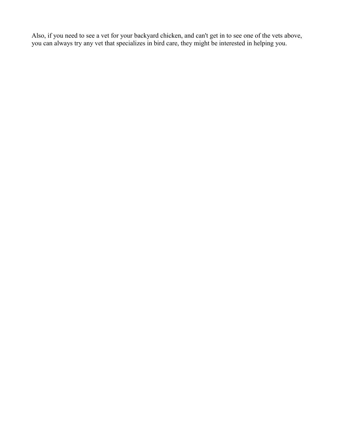Also, if you need to see a vet for your backyard chicken, and can't get in to see one of the vets above, you can always try any vet that specializes in bird care, they might be interested in helping you.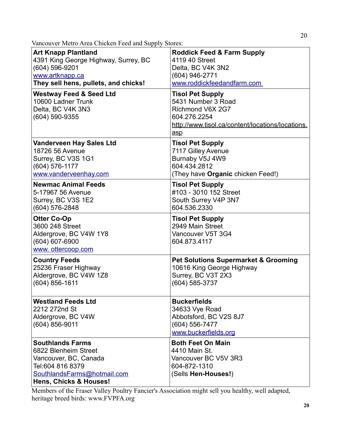Vancouver Metro Area Chicken Feed and Supply Stores:

| <b>Art Knapp Plantland</b>                                                                                                                            | <b>Roddick Feed &amp; Farm Supply</b>                                                                                                        |
|-------------------------------------------------------------------------------------------------------------------------------------------------------|----------------------------------------------------------------------------------------------------------------------------------------------|
| 4391 King George Highway, Surrey, BC                                                                                                                  | 4119 40 Street                                                                                                                               |
| (604) 596-9201                                                                                                                                        | Delta, BC V4K 3N2                                                                                                                            |
| www.artknapp.ca                                                                                                                                       | (604) 946-2771                                                                                                                               |
| They sell hens, pullets, and chicks!                                                                                                                  | www.roddickfeedandfarm.com                                                                                                                   |
| <b>Westway Feed &amp; Seed Ltd</b><br>10600 Ladner Trunk<br>Delta, BC V4K 3N3<br>(604) 590-9355                                                       | <b>Tisol Pet Supply</b><br>5431 Number 3 Road<br>Richmond V6X 2G7<br>604.276.2254<br>http://www.tisol.ca/content/locations/locations.<br>asp |
| <b>Vanderveen Hay Sales Ltd</b>                                                                                                                       | <b>Tisol Pet Supply</b>                                                                                                                      |
| 18726 56 Avenue                                                                                                                                       | 7117 Gilley Avenue                                                                                                                           |
| Surrey, BC V3S 1G1                                                                                                                                    | Burnaby V5J 4W9                                                                                                                              |
| (604) 576-1177                                                                                                                                        | 604.434.2812                                                                                                                                 |
| www.vanderveenhay.com                                                                                                                                 | (They have Organic chicken Feed!)                                                                                                            |
| <b>Newmac Animal Feeds</b>                                                                                                                            | <b>Tisol Pet Supply</b>                                                                                                                      |
| 5-17967 56 Avenue                                                                                                                                     | #103 - 3010 152 Street                                                                                                                       |
| Surrey, BC V3S 1E2                                                                                                                                    | South Surrey V4P 3N7                                                                                                                         |
| (604) 576-2848                                                                                                                                        | 604.536.2330                                                                                                                                 |
| <b>Otter Co-Op</b><br>3600 248 Street<br>Aldergrove, BC V4W 1Y8<br>$(604)$ 607-6900<br>www. ottercoop.com                                             | <b>Tisol Pet Supply</b><br>2949 Main Street<br>Vancouver V5T 3G4<br>604.873.4117                                                             |
| <b>Country Feeds</b>                                                                                                                                  | <b>Pet Solutions Supermarket &amp; Grooming</b>                                                                                              |
| 25236 Fraser Highway                                                                                                                                  | 10616 King George Highway                                                                                                                    |
| Aldergrove, BC V4W 1Z8                                                                                                                                | Surrey, BC V3T 2X3                                                                                                                           |
| $(604) 856 - 1611$                                                                                                                                    | (604) 585-3737                                                                                                                               |
| <b>Westland Feeds Ltd</b><br>2212 272nd St<br>Aldergrove, BC V4W<br>$(604) 856 - 9011$                                                                | <b>Buckerfields</b><br>34633 Vye Road<br>Abbotsford, BC V2S 8J7<br>(604) 556-7477<br>www.buckerfields.org                                    |
| <b>Southlands Farms</b><br>6822 Blenheim Street<br>Vancouver, BC, Canada<br>Tel:604 816 8379<br>SouthlandsFarms@hotmail.com<br>Hens, Chicks & Houses! | <b>Both Feet On Main</b><br>4410 Main St.<br>Vancouver BC V5V 3R3<br>604-872-1310<br>(Sells Hen-Houses!)                                     |

Members of the Fraser Valley Poultry Fancier's Association might sell you healthy, well adapted, heritage breed birds: www.FVPFA.org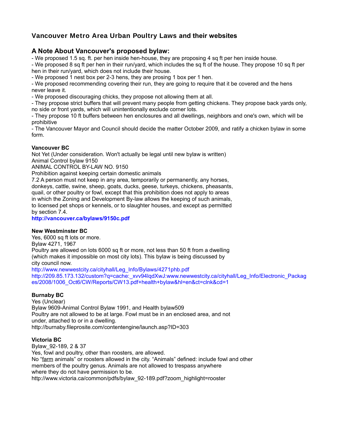## **Vancouver Metro Area Urban Poultry Laws and their websites**

## **A Note About Vancouver's proposed bylaw:**

- We proposed 1.5 sq. ft. per hen inside hen-house, they are proposing 4 sq ft per hen inside house.

- We proposed 8 sq ft per hen in their run/yard, which includes the sq ft of the house. They propose 10 sq ft per hen in their run/yard, which does not include their house.

- We proposed 1 nest box per 2-3 hens, they are prosing 1 box per 1 hen.

- We proposed recommending covering their run, they are going to require that it be covered and the hens never leave it.

- We proposed discouraging chicks, they propose not allowing them at all.

- They propose strict buffers that will prevent many people from getting chickens. They propose back yards only, no side or front yards, which will unintentionally exclude corner lots.

- They propose 10 ft buffers between hen enclosures and all dwellings, neighbors and one's own, which will be prohibitive

- The Vancouver Mayor and Council should decide the matter October 2009, and ratify a chicken bylaw in some form.

#### **Vancouver BC**

Not Yet (Under consideration. Won't actually be legal until new bylaw is written)

Animal Control bylaw 9150

ANIMAL CONTROL BY-LAW NO. 9150

Prohibition against keeping certain domestic animals

7.2 A person must not keep in any area, temporarily or permanently, any horses,

donkeys, cattle, swine, sheep, goats, ducks, geese, turkeys, chickens, pheasants, quail, or other poultry or fowl, except that this prohibition does not apply to areas in which the Zoning and Development By-law allows the keeping of such animals, to licensed pet shops or kennels, or to slaughter houses, and except as permitted by section 7.4.

**http://vancouver.ca/bylaws/9150c.pdf**

#### **New Westminster BC**

Yes, 6000 sq ft lots or more. Bylaw 4271, 1967 Poultry are allowed on lots 6000 sq ft or more, not less than 50 ft from a dwelling (which makes it impossible on most city lots). This bylaw is being discussed by city council now. http://www.newwestcity.ca/cityhall/Leg\_Info/Bylaws/4271phb.pdf

http://209.85.173.132/custom?q=cache:\_xvv94lqdXwJ:www.newwestcity.ca/cityhall/Leg\_Info/Electronic\_Packag es/2008/1006\_Oct6/CW/Reports/CW13.pdf+health+bylaw&hl=en&ct=clnk&cd=1

#### **Burnaby BC**

Yes (Unclear) Bylaw 9609-Animal Control Bylaw 1991, and Health bylaw509 Poultry are not allowed to be at large. Fowl must be in an enclosed area, and not under, attached to or in a dwelling. http://burnaby.fileprosite.com/contentengine/launch.asp?ID=303

#### **Victoria BC**

Bylaw\_92-189, 2 & 37 Yes, fowl and poultry, other than roosters, are allowed. No "farm animals" or roosters allowed in the city. "Animals" defined: include fowl and other members of the poultry genus. Animals are not allowed to trespass anywhere where they do not have permission to be. http://www.victoria.ca/common/pdfs/bylaw\_92-189.pdf?zoom\_highlight=rooster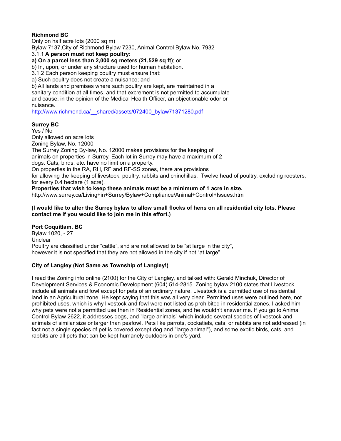### **Richmond BC**

Only on half acre lots (2000 sq m) Bylaw 7137,City of Richmond Bylaw 7230, Animal Control Bylaw No. 7932 3.1.1 **A person must not keep poultry: a) On a parcel less than 2,000 sq meters (21,529 sq ft)**; or

b) In, upon, or under any structure used for human habitation.

3.1.2 Each person keeping poultry must ensure that:

a) Such poultry does not create a nuisance; and

b) All lands and premises where such poultry are kept, are maintained in a sanitary condition at all times, and that excrement is not permitted to accumulate and cause, in the opinion of the Medical Health Officer, an objectionable odor or nuisance.

http://www.richmond.ca/\_\_shared/assets/072400\_bylaw71371280.pdf

#### **Surrey BC**

Yes / No Only allowed on acre lots Zoning Bylaw, No. 12000 The Surrey Zoning By-law, No. 12000 makes provisions for the keeping of animals on properties in Surrey. Each lot in Surrey may have a maximum of 2 dogs. Cats, birds, etc. have no limit on a property. On properties in the RA, RH, RF and RF-SS zones, there are provisions for allowing the keeping of livestock, poultry, rabbits and chinchillas. Twelve head of poultry, excluding roosters, for every 0.4 hectare (1 acre). **Properties that wish to keep these animals must be a minimum of 1 acre in size.**

http://www.surrey.ca/Living+in+Surrey/Bylaw+Compliance/Animal+Control+Issues.htm

#### **(I would like to alter the Surrey bylaw to allow small flocks of hens on all residential city lots. Please contact me if you would like to join me in this effort.)**

## **Port Coquitlam, BC**

Bylaw 1020, - 27 **Unclear** Poultry are classified under "cattle", and are not allowed to be "at large in the city", however it is not specified that they are not allowed in the city if not "at large".

#### **City of Langley (Not Same as Township of Langley!)**

I read the Zoning info online (2100) for the City of Langley, and talked with: Gerald Minchuk, Director of Development Services & Economic Development (604) 514-2815. Zoning bylaw 2100 states that Livestock include all animals and fowl except for pets of an ordinary nature. Livestock is a permitted use of residential land in an Agricultural zone. He kept saying that this was all very clear. Permitted uses were outlined here, not prohibited uses, which is why livestock and fowl were not listed as prohibited in residential zones. I asked him why pets were not a permitted use then in Residential zones, and he wouldn't answer me. If you go to Animal Control Bylaw 2622, it addresses dogs, and "large animals" which include several species of livestock and animals of similar size or larger than peafowl. Pets like parrots, cockatiels, cats, or rabbits are not addressed (in fact not a single species of pet is covered except dog and "large animal"), and some exotic birds, cats, and rabbits are all pets that can be kept humanely outdoors in one's yard.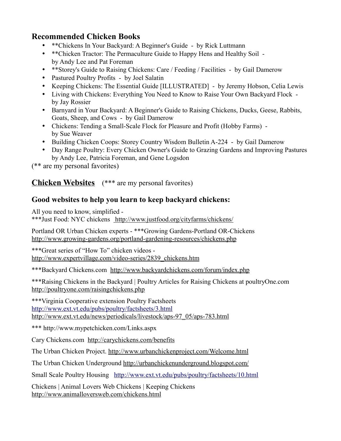## **Recommended Chicken Books**

- \*\*Chickens In Your Backyard: A Beginner's Guide by Rick Luttmann
- \*\*Chicken Tractor: The Permaculture Guide to Happy Hens and Healthy Soil by Andy Lee and Pat Foreman
- \*\*Storey's Guide to Raising Chickens: Care / Feeding / Facilities by Gail Damerow
- Pastured Poultry Profits by Joel Salatin
- Keeping Chickens: The Essential Guide [ILLUSTRATED] by Jeremy Hobson, Celia Lewis
- Living with Chickens: Everything You Need to Know to Raise Your Own Backyard Flock by Jay Rossier
- Barnyard in Your Backyard: A Beginner's Guide to Raising Chickens, Ducks, Geese, Rabbits, Goats, Sheep, and Cows - by Gail Damerow
- Chickens: Tending a Small-Scale Flock for Pleasure and Profit (Hobby Farms) by Sue Weaver
- Building Chicken Coops: Storey Country Wisdom Bulletin A-224 by Gail Damerow
- Day Range Poultry: Every Chicken Owner's Guide to Grazing Gardens and Improving Pastures by Andy Lee, Patricia Foreman, and Gene Logsdon

(\*\* are my personal favorites)

**Chicken Websites** (\*\*\* are my personal favorites)

## **Good websites to help you learn to keep backyard chickens:**

All you need to know, simplified -

\*\*\*Just Food: NYC chickens http://www.justfood.org/cityfarms/chickens/

Portland OR Urban Chicken experts - \*\*\*Growing Gardens-Portland OR-Chickens http://www.growing-gardens.org/portland-gardening-resources/chickens.php

\*\*\*Great series of "How To" chicken videos http://www.expertvillage.com/video-series/2839\_chickens.htm

\*\*\*Backyard Chickens.com http://www.backyardchickens.com/forum/index.php

\*\*\*Raising Chickens in the Backyard | Poultry Articles for Raising Chickens at poultryOne.com http://poultryone.com/raisingchickens.php

\*\*\*Virginia Cooperative extension Poultry Factsheets <http://www.ext.vt.edu/pubs/poultry/factsheets/3.html> http://www.ext.vt.edu/news/periodicals/livestock/aps-97\_05/aps-783.html

\*\*\* http://www.mypetchicken.com/Links.aspx

Cary Chickens.com http://carychickens.com/benefits

The Urban Chicken Project. http://www.urbanchickenproject.com/Welcome.html

The Urban Chicken Underground http://urbanchickenunderground.blogspot.com/

Small Scale Poultry Housing <http://www.ext.vt.edu/pubs/poultry/factsheets/10.html>

Chickens | Animal Lovers Web Chickens | Keeping Chickens http://www.animalloversweb.com/chickens.html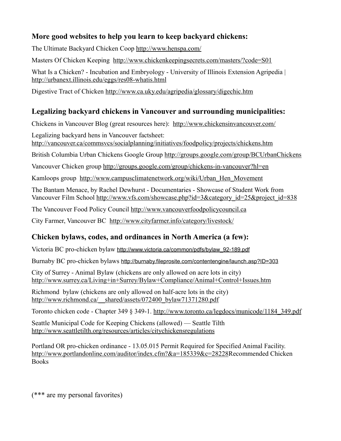## **More good websites to help you learn to keep backyard chickens:**

The Ultimate Backyard Chicken Coop http://www.henspa.com/

Masters Of Chicken Keeping http://www.chickenkeepingsecrets.com/masters/?code=S01

What Is a Chicken? - Incubation and Embryology - University of Illinois Extension Agripedia | http://urbanext.illinois.edu/eggs/res08-whatis.html

Digestive Tract of Chicken http://www.ca.uky.edu/agripedia/glossary/digechic.htm

## **Legalizing backyard chickens in Vancouver and surrounding municipalities:**

Chickens in Vancouver Blog (great resources here): http://www.chickensinvancouver.com/

Legalizing backyard hens in Vancouver factsheet: http://vancouver.ca/commsvcs/socialplanning/initiatives/foodpolicy/projects/chickens.htm

British Columbia Urban Chickens Google Group http://groups.google.com/group/BCUrbanChickens

Vancouver Chicken group http://groups.google.com/group/chickens-in-vancouver?hl=en

Kamloops group http://www.campusclimatenetwork.org/wiki/Urban\_Hen\_Movement

The Bantam Menace, by Rachel Dewhurst - Documentaries - Showcase of Student Work from Vancouver Film School http://www.vfs.com/showcase.php?id=3&category\_id=25&project\_id=838

The Vancouver Food Policy Council http://www.vancouverfoodpolicycouncil.ca

City Farmer, Vancouver BC http://www.cityfarmer.info/category/livestock/

## **Chicken bylaws, codes, and ordinances in North America (a few):**

Victoria BC pro-chicken bylaw http://www.victoria.ca/common/pdfs/bylaw\_92-189.pdf

Burnaby BC pro-chicken bylaws http://burnaby.fileprosite.com/contentengine/launch.asp?ID=303

City of Surrey - Animal Bylaw (chickens are only allowed on acre lots in city) http://www.surrey.ca/Living+in+Surrey/Bylaw+Compliance/Animal+Control+Issues.htm

Richmond bylaw (chickens are only allowed on half-acre lots in the city) http://www.richmond.ca/\_\_shared/assets/072400\_bylaw71371280.pdf

Toronto chicken code - Chapter 349 § 349-1. http://www.toronto.ca/legdocs/municode/1184\_349.pdf

Seattle Municipal Code for Keeping Chickens (allowed) — Seattle Tilth http://www.seattletilth.org/resources/articles/citychickensregulations

Portland OR pro-chicken ordinance - 13.05.015 Permit Required for Specified Animal Facility. http://www.portlandonline.com/auditor/index.cfm?&a=185339&c=28228Recommended Chicken Books

(\*\*\* are my personal favorites)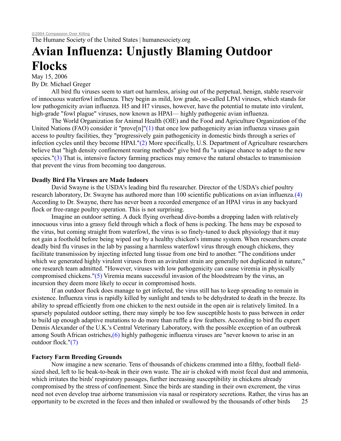The Humane Society of the United States | humanesociety.org

## **Avian Influenza: Unjustly Blaming Outdoor Flocks**

May 15, 2006 By Dr. Michael Greger

All bird flu viruses seem to start out harmless, arising out of the perpetual, benign, stable reservoir of innocuous waterfowl influenza. They begin as mild, low grade, so-called LPAI viruses, which stands for low pathogenicity avian influenza. H5 and H7 viruses, however, have the potential to mutate into virulent, high-grade "fowl plague" viruses, now known as HPAI— highly pathogenic avian influenza.

The World Organization for Animal Health (OIE) and the Food and Agriculture Organization of the United Nations (FAO) consider it "prove<sup>[n]"(1)</sup> that once low pathogenicity avian influenza viruses gain access to poultry facilities, they "progressively gain pathogenicity in domestic birds through a series of infection cycles until they become HPAI."(2) More specifically, U.S. Department of Agriculture researchers believe that "high density confinement rearing methods" give bird flu "a unique chance to adapt to the new species." $(3)$  That is, intensive factory farming practices may remove the natural obstacles to transmission that prevent the virus from becoming too dangerous.

### **Deadly Bird Flu Viruses are Made Indoors**

David Swayne is the USDA's leading bird flu researcher. Director of the USDA's chief poultry research laboratory, Dr. Swayne has authored more than 100 scientific publications on avian influenza.(4) According to Dr. Swayne, there has never been a recorded emergence of an HPAI virus in any backyard flock or free-range poultry operation. This is not surprising.

Imagine an outdoor setting. A duck flying overhead dive-bombs a dropping laden with relatively innocuous virus into a grassy field through which a flock of hens is pecking. The hens may be exposed to the virus, but coming straight from waterfowl, the virus is so finely-tuned to duck physiology that it may not gain a foothold before being wiped out by a healthy chicken's immune system. When researchers create deadly bird flu viruses in the lab by passing a harmless waterfowl virus through enough chickens, they facilitate transmission by injecting infected lung tissue from one bird to another. "The conditions under which we generated highly virulent viruses from an avirulent strain are generally not duplicated in nature." one research team admitted. "However, viruses with low pathogenicity can cause viremia in physically compromised chickens."(5) Viremia means successful invasion of the bloodstream by the virus, an incursion they deem more likely to occur in compromised hosts.

If an outdoor flock does manage to get infected, the virus still has to keep spreading to remain in existence. Influenza virus is rapidly killed by sunlight and tends to be dehydrated to death in the breeze. Its ability to spread efficiently from one chicken to the next outside in the open air is relatively limited. In a sparsely populated outdoor setting, there may simply be too few susceptible hosts to pass between in order to build up enough adaptive mutations to do more than ruffle a few feathers. According to bird flu expert Dennis Alexander of the U.K.'s Central Veterinary Laboratory, with the possible exception of an outbreak among South African ostriches,(6) highly pathogenic influenza viruses are "never known to arise in an outdoor flock."(7)

#### **Factory Farm Breeding Grounds**

Now imagine a new scenario. Tens of thousands of chickens crammed into a filthy, football fieldsized shed, left to lie beak-to-beak in their own waste. The air is choked with moist fecal dust and ammonia, which irritates the birds' respiratory passages, further increasing susceptibility in chickens already compromised by the stress of confinement. Since the birds are standing in their own excrement, the virus need not even develop true airborne transmission via nasal or respiratory secretions. Rather, the virus has an opportunity to be excreted in the feces and then inhaled or swallowed by the thousands of other birds 25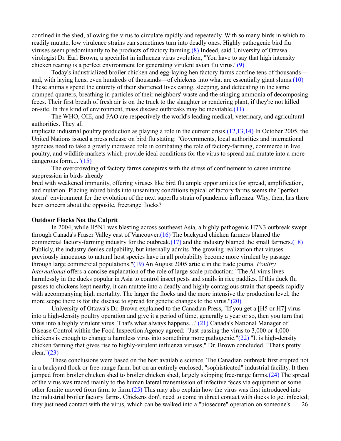confined in the shed, allowing the virus to circulate rapidly and repeatedly. With so many birds in which to readily mutate, low virulence strains can sometimes turn into deadly ones. Highly pathogenic bird flu viruses seem predominantly to be products of factory farming.(8) Indeed, said University of Ottawa virologist Dr. Earl Brown, a specialist in influenza virus evolution, "You have to say that high intensity chicken rearing is a perfect environment for generating virulent avian flu virus."(9)

Today's industrialized broiler chicken and egg-laying hen factory farms confine tens of thousands and, with laying hens, even hundreds of thousands—of chickens into what are essentially giant slums.(10) These animals spend the entirety of their shortened lives eating, sleeping, and defecating in the same cramped quarters, breathing in particles of their neighbors' waste and the stinging ammonia of decomposing feces. Their first breath of fresh air is on the truck to the slaughter or rendering plant, if they're not killed on-site. In this kind of environment, mass disease outbreaks may be inevitable.(11)

The WHO, OIE, and FAO are respectively the world's leading medical, veterinary, and agricultural authorities. They all

implicate industrial poultry production as playing a role in the current crisis.(12,13,14) In October 2005, the United Nations issued a press release on bird flu stating: "Governments, local authorities and international agencies need to take a greatly increased role in combating the role of factory-farming, commerce in live poultry, and wildlife markets which provide ideal conditions for the virus to spread and mutate into a more dangerous form...."(15)

The overcrowding of factory farms conspires with the stress of confinement to cause immune suppression in birds already

bred with weakened immunity, offering viruses like bird flu ample opportunities for spread, amplification, and mutation. Placing inbred birds into unsanitary conditions typical of factory farms seems the "perfect storm" environment for the evolution of the next superflu strain of pandemic influenza. Why, then, has there been concern about the opposite, freerange flocks?

#### **Outdoor Flocks Not the Culprit**

In 2004, while H5N1 was blasting across southeast Asia, a highly pathogenic H7N3 outbreak swept through Canada's Fraser Valley east of Vancouver.(16) The backyard chicken farmers blamed the commercial factory-farming industry for the outbreak, $(17)$  and the industry blamed the small farmers. $(18)$ Publicly, the industry denies culpability, but internally admits "the growing realization that viruses previously innocuous to natural host species have in all probability become more virulent by passage through large commercial populations."(19) An August 2005 article in the trade journal *Poultry International* offers a concise explanation of the role of large-scale production: "The AI virus lives harmlessly in the ducks popular in Asia to control insect pests and snails in rice paddies. If this duck flu passes to chickens kept nearby, it can mutate into a deadly and highly contagious strain that speeds rapidly with accompanying high mortality. The larger the flocks and the more intensive the production level, the more scope there is for the disease to spread for genetic changes to the virus."(20)

University of Ottawa's Dr. Brown explained to the Canadian Press, "If you get a [H5 or H7] virus into a high-density poultry operation and give it a period of time, generally a year or so, then you turn that virus into a highly virulent virus. That's what always happens...."(21) Canada's National Manager of Disease Control within the Food Inspection Agency agreed: "Just passing the virus to 3,000 or 4,000 chickens is enough to change a harmless virus into something more pathogenic."(22) "It is high-density chicken farming that gives rise to highly-virulent influenza viruses," Dr. Brown concluded. "That's pretty clear."(23)

These conclusions were based on the best available science. The Canadian outbreak first erupted not in a backyard flock or free-range farm, but on an entirely enclosed, "sophisticated" industrial facility. It then jumped from broiler chicken shed to broiler chicken shed, largely skipping free-range farms.(24) The spread of the virus was traced mainly to the human lateral transmission of infective feces via equipment or some other fomite moved from farm to farm. $(25)$  This may also explain how the virus was first introduced into the industrial broiler factory farms. Chickens don't need to come in direct contact with ducks to get infected; they just need contact with the virus, which can be walked into a "biosecure" operation on someone's 26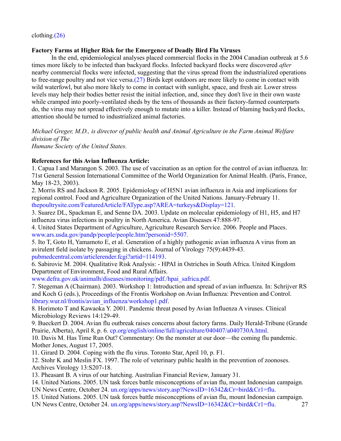## **Factory Farms at Higher Risk for the Emergence of Deadly Bird Flu Viruses**

In the end, epidemiological analyses placed commercial flocks in the 2004 Canadian outbreak at 5.6 times more likely to be infected than backyard flocks. Infected backyard flocks were discovered *after* nearby commercial flocks were infected, suggesting that the virus spread from the industrialized operations to free-range poultry and not vice versa.(27) Birds kept outdoors are more likely to come in contact with wild waterfowl, but also more likely to come in contact with sunlight, space, and fresh air. Lower stress levels may help their bodies better resist the initial infection, and, since they don't live in their own waste while cramped into poorly-ventilated sheds by the tens of thousands as their factory-farmed counterparts do, the virus may not spread effectively enough to mutate into a killer. Instead of blaming backyard flocks, attention should be turned to industrialized animal factories.

*Michael Greger, M.D., is director of public health and Animal Agriculture in the Farm Animal Welfare division of The Humane Society of the United States.*

## **References for this Avian Influenza Article:**

1. Capua I and Marangon S. 2003. The use of vaccination as an option for the control of avian influenza. In: 71st General Session International Committee of the World Organization for Animal Health. (Paris, France, May 18-23, 2003).

2. Morris RS and Jackson R. 2005. Epidemiology of H5N1 avian influenza in Asia and implications for regional control. Food and Agriculture Organization of the United Nations. January-February 11. thepoultrysite.com/FeaturedArticle/FAType.asp?AREA=turkeys&Display=121.

3. Suarez DL, Spackman E, and Senne DA. 2003. Update on molecular epidemiology of H1, H5, and H7 influenza virus infections in poultry in North America. Avian Diseases 47:888-97.

4. United States Department of Agriculture, Agriculture Research Service. 2006. People and Places. www.ars.usda.gov/pandp/people/people.htm?personid=5507.

5. Ito T, Goto H, Yamamoto E, et al. Generation of a highly pathogenic avian influenza A virus from an avirulent field isolate by passaging in chickens. Journal of Virology 75(9):4439-43. pubmedcentral.com/articlerender.fcgi?artid=114193.

6. Sabirovic M. 2004. Qualitative Risk Analysis: - HPAI in Ostriches in South Africa. United Kingdom Department of Environment, Food and Rural Affairs.

www.defra.gov.uk/animalh/diseases/monitoring/pdf./hpai\_safrica.pdf.

7. Stegeman A (Chairman). 2003. Workshop 1: Introduction and spread of avian influenza. In: Schrijver RS and Koch G (eds.), Proceedings of the Frontis Workshop on Avian Influenza: Prevention and Control. library.wur.nl/frontis/avian\_influenza/workshop1.pdf.

8. Horimoto T and Kawaoka Y. 2001. Pandemic threat posed by Avian Influenza A viruses. Clinical Microbiology Reviews 14:129-49.

9. Bueckert D. 2004. Avian flu outbreak raises concerns about factory farms. Daily Herald-Tribune (Grande Prairie, Alberta), April 8, p. 6. cp.org/english/online/full/agriculture/040407/a040730A.html.

10. Davis M. Has Time Run Out? Commentary: On the monster at our door—the coming flu pandemic. Mother Jones, August 17, 2005.

11. Girard D. 2004. Coping with the flu virus. Toronto Star, April 10, p. F1.

12. Stohr K and Meslin FX. 1997. The role of veterinary public health in the prevention of zoonoses. Archives Virology 13:S207-18.

13. Pheasant B. A virus of our hatching. Australian Financial Review, January 31.

14. United Nations. 2005. UN task forces battle misconceptions of avian flu, mount Indonesian campaign. UN News Centre, October 24. un.org/apps/news/story.asp?NewsID=16342&Cr=bird&Cr1=flu.

15. United Nations. 2005. UN task forces battle misconceptions of avian flu, mount Indonesian campaign. UN News Centre, October 24. un.org/apps/news/story.asp?NewsID=16342&Cr=bird&Cr1=flu. 27